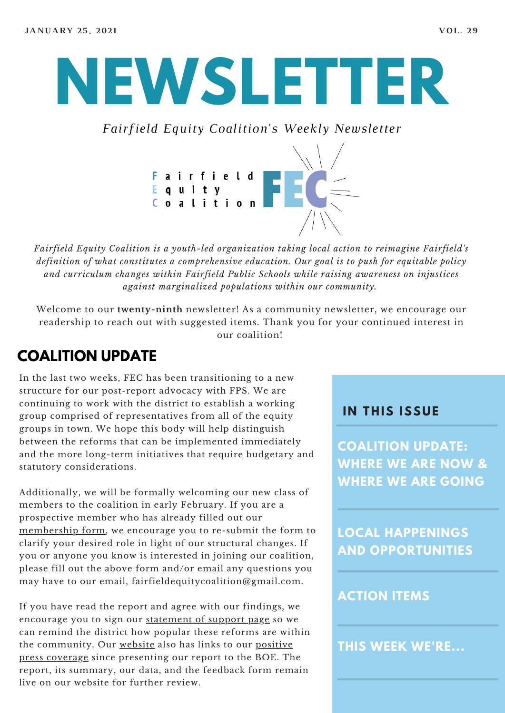# **NEWSLETTER**

*Fairfield Equity Coalition's Weekly Newsletter*



*Fairfield Equity Coalition is a youth-led organization taking local action to reimagine Fairfield's definition of what constitutes a comprehensive education. Our goal is to push for equitable policy and curriculum changes within Fairfield Public Schools while raising awareness on injustices against marginalized populations within our community.*

Welcome to our **twenty-ninth** newsletter! As a community newsletter, we encourage our readership to reach out with suggested items. Thank you for your continued interest in our coalition!

#### **COALITION UPDATE**

In the last two weeks, FEC has been transitioning to a new structure for our post-report advocacy with FPS. We are continuing to work with the district to establish a working group comprised of representatives from all of the equity groups in town. We hope this body will help distinguish between the reforms that can be implemented immediately and the more long-term initiatives that require budgetary and statutory considerations.

Additionally, we will be formally welcoming our new class of members to the coalition in early February. If you are a prospective member who has already filled out our [membership](https://www.fairfieldequitycoalition.org/get-involved) form, we encourage you to re-submit the form to clarify your desired role in light of our structural changes. If you or anyone you know is interested in joining our coalition, please fill out the above form and/or email any questions you may have to our email, fairfieldequitycoalition@gmail.com.

If you have read the report and agree with our findings, we encourage you to sign our [statement](https://www.fairfieldequitycoalition.org/local-supporters) of support page so we can remind the district how popular these reforms are within the [community.](https://www.fairfieldequitycoalition.org/fec-in-the-news) Our [website](https://www.fairfieldequitycoalition.org/) also has links to our positive press coverage since presenting our report to the BOE. The report, its summary, our data, and the feedback form remain live on our website for further review.

#### **I N THIS ISSUE**

**COALITION UPDATE: WHERE WE ARE NOW & WHERE WE ARE GOING**

**LOCAL HAPPENINGS AND OPPORTUNITIES**

#### **ACTION ITEMS**

**THIS WEEK WE'RE...**